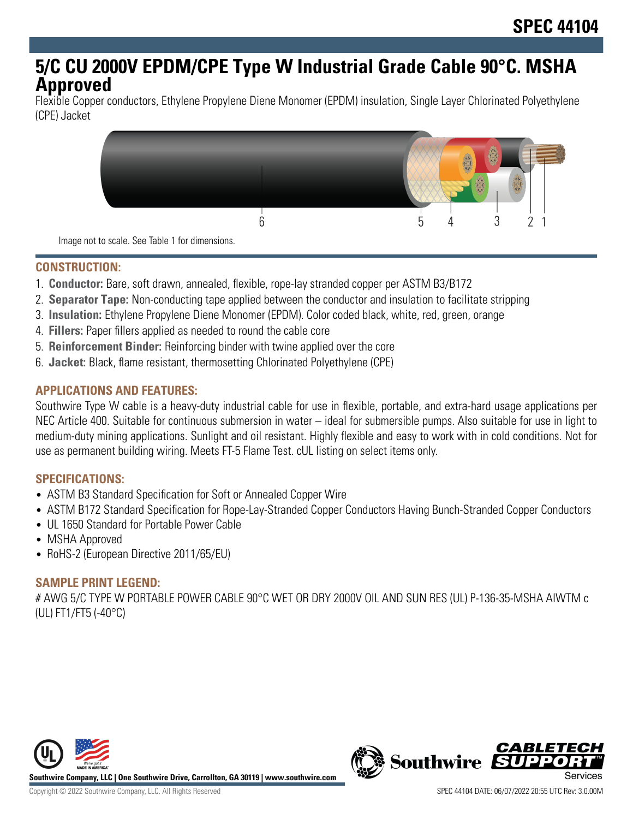# **5/C CU 2000V EPDM/CPE Type W Industrial Grade Cable 90°C. MSHA Approved**

Flexible Copper conductors, Ethylene Propylene Diene Monomer (EPDM) insulation, Single Layer Chlorinated Polyethylene (CPE) Jacket



Image not to scale. See Table 1 for dimensions.

# **CONSTRUCTION:**

- 1. **Conductor:** Bare, soft drawn, annealed, flexible, rope-lay stranded copper per ASTM B3/B172
- 2. **Separator Tape:** Non-conducting tape applied between the conductor and insulation to facilitate stripping
- 3. **Insulation:** Ethylene Propylene Diene Monomer (EPDM). Color coded black, white, red, green, orange
- 4. **Fillers:** Paper fillers applied as needed to round the cable core
- 5. **Reinforcement Binder:** Reinforcing binder with twine applied over the core
- 6. **Jacket:** Black, flame resistant, thermosetting Chlorinated Polyethylene (CPE)

# **APPLICATIONS AND FEATURES:**

Southwire Type W cable is a heavy-duty industrial cable for use in flexible, portable, and extra-hard usage applications per NEC Article 400. Suitable for continuous submersion in water – ideal for submersible pumps. Also suitable for use in light to medium-duty mining applications. Sunlight and oil resistant. Highly flexible and easy to work with in cold conditions. Not for use as permanent building wiring. Meets FT-5 Flame Test. cUL listing on select items only.

#### **SPECIFICATIONS:**

- ASTM B3 Standard Specification for Soft or Annealed Copper Wire
- ASTM B172 Standard Specification for Rope-Lay-Stranded Copper Conductors Having Bunch-Stranded Copper Conductors
- UL 1650 Standard for Portable Power Cable
- MSHA Approved
- RoHS-2 (European Directive 2011/65/EU)

# **SAMPLE PRINT LEGEND:**

# AWG 5/C TYPE W PORTABLE POWER CABLE 90°C WET OR DRY 2000V OIL AND SUN RES (UL) P-136-35-MSHA AIWTM c (UL) FT1/FT5 (-40°C)